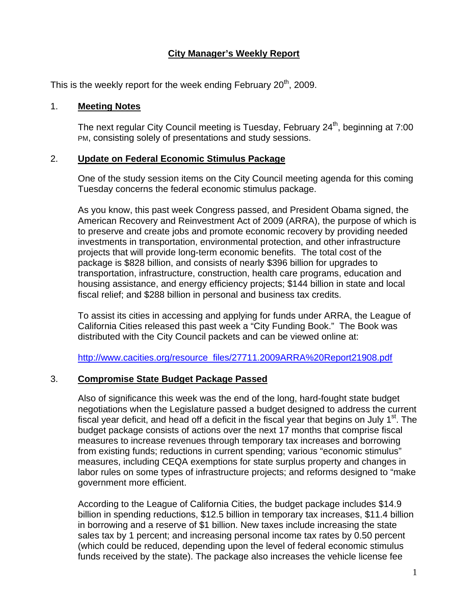# **City Manager's Weekly Report**

This is the weekly report for the week ending February  $20<sup>th</sup>$ , 2009.

#### 1. **Meeting Notes**

The next regular City Council meeting is Tuesday, February 24<sup>th</sup>, beginning at 7:00 PM, consisting solely of presentations and study sessions.

## 2. **Update on Federal Economic Stimulus Package**

One of the study session items on the City Council meeting agenda for this coming Tuesday concerns the federal economic stimulus package.

As you know, this past week Congress passed, and President Obama signed, the American Recovery and Reinvestment Act of 2009 (ARRA), the purpose of which is to preserve and create jobs and promote economic recovery by providing needed investments in transportation, environmental protection, and other infrastructure projects that will provide long-term economic benefits. The total cost of the package is \$828 billion, and consists of nearly \$396 billion for upgrades to transportation, infrastructure, construction, health care programs, education and housing assistance, and energy efficiency projects; \$144 billion in state and local fiscal relief; and \$288 billion in personal and business tax credits.

To assist its cities in accessing and applying for funds under ARRA, the League of California Cities released this past week a "City Funding Book." The Book was distributed with the City Council packets and can be viewed online at:

[http://www.cacities.org/resource\\_files/27711.2009ARRA%20Report21908.pdf](http://www.cacities.org/resource_files/27711.2009ARRA%20Report21908.pdf)

# 3. **Compromise State Budget Package Passed**

Also of significance this week was the end of the long, hard-fought state budget negotiations when the Legislature passed a budget designed to address the current fiscal year deficit, and head off a deficit in the fiscal year that begins on July  $1<sup>st</sup>$ . The budget package consists of actions over the next 17 months that comprise fiscal measures to increase revenues through temporary tax increases and borrowing from existing funds; reductions in current spending; various "economic stimulus" measures, including CEQA exemptions for state surplus property and changes in labor rules on some types of infrastructure projects; and reforms designed to "make government more efficient.

According to the League of California Cities, the budget package includes \$14.9 billion in spending reductions, \$12.5 billion in temporary tax increases, \$11.4 billion in borrowing and a reserve of \$1 billion. New taxes include increasing the state sales tax by 1 percent; and increasing personal income tax rates by 0.50 percent (which could be reduced, depending upon the level of federal economic stimulus funds received by the state). The package also increases the vehicle license fee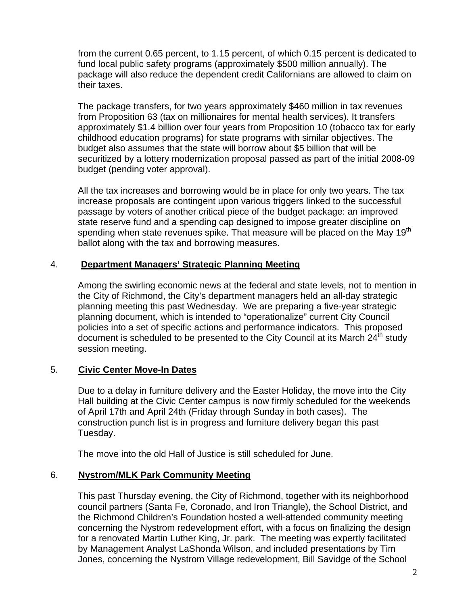from the current 0.65 percent, to 1.15 percent, of which 0.15 percent is dedicated to fund local public safety programs (approximately \$500 million annually). The package will also reduce the dependent credit Californians are allowed to claim on their taxes.

The package transfers, for two years approximately \$460 million in tax revenues from Proposition 63 (tax on millionaires for mental health services). It transfers approximately \$1.4 billion over four years from Proposition 10 (tobacco tax for early childhood education programs) for state programs with similar objectives. The budget also assumes that the state will borrow about \$5 billion that will be securitized by a lottery modernization proposal passed as part of the initial 2008-09 budget (pending voter approval).

All the tax increases and borrowing would be in place for only two years. The tax increase proposals are contingent upon various triggers linked to the successful passage by voters of another critical piece of the budget package: an improved state reserve fund and a spending cap designed to impose greater discipline on spending when state revenues spike. That measure will be placed on the May 19<sup>th</sup> ballot along with the tax and borrowing measures.

## 4. **Department Managers' Strategic Planning Meeting**

Among the swirling economic news at the federal and state levels, not to mention in the City of Richmond, the City's department managers held an all-day strategic planning meeting this past Wednesday. We are preparing a five-year strategic planning document, which is intended to "operationalize" current City Council policies into a set of specific actions and performance indicators. This proposed document is scheduled to be presented to the City Council at its March  $24<sup>th</sup>$  study session meeting.

#### 5. **Civic Center Move-In Dates**

Due to a delay in furniture delivery and the Easter Holiday, the move into the City Hall building at the Civic Center campus is now firmly scheduled for the weekends of April 17th and April 24th (Friday through Sunday in both cases). The construction punch list is in progress and furniture delivery began this past Tuesday.

The move into the old Hall of Justice is still scheduled for June.

#### 6. **Nystrom/MLK Park Community Meeting**

This past Thursday evening, the City of Richmond, together with its neighborhood council partners (Santa Fe, Coronado, and Iron Triangle), the School District, and the Richmond Children's Foundation hosted a well-attended community meeting concerning the Nystrom redevelopment effort, with a focus on finalizing the design for a renovated Martin Luther King, Jr. park. The meeting was expertly facilitated by Management Analyst LaShonda Wilson, and included presentations by Tim Jones, concerning the Nystrom Village redevelopment, Bill Savidge of the School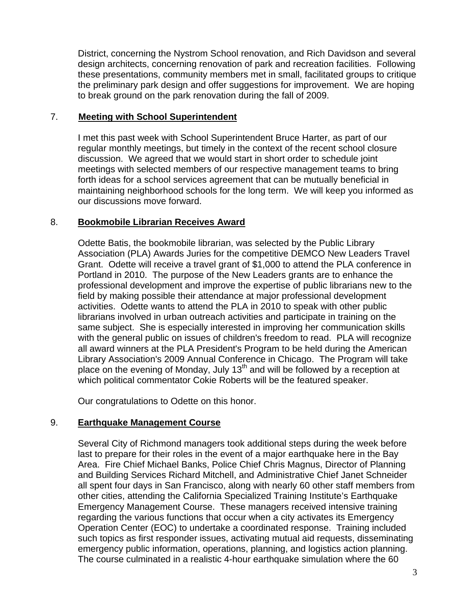District, concerning the Nystrom School renovation, and Rich Davidson and several design architects, concerning renovation of park and recreation facilities. Following these presentations, community members met in small, facilitated groups to critique the preliminary park design and offer suggestions for improvement. We are hoping to break ground on the park renovation during the fall of 2009.

### 7. **Meeting with School Superintendent**

I met this past week with School Superintendent Bruce Harter, as part of our regular monthly meetings, but timely in the context of the recent school closure discussion. We agreed that we would start in short order to schedule joint meetings with selected members of our respective management teams to bring forth ideas for a school services agreement that can be mutually beneficial in maintaining neighborhood schools for the long term. We will keep you informed as our discussions move forward.

## 8. **Bookmobile Librarian Receives Award**

Odette Batis, the bookmobile librarian, was selected by the Public Library Association (PLA) Awards Juries for the competitive DEMCO New Leaders Travel Grant. Odette will receive a travel grant of \$1,000 to attend the PLA conference in Portland in 2010. The purpose of the New Leaders grants are to enhance the professional development and improve the expertise of public librarians new to the field by making possible their attendance at major professional development activities. Odette wants to attend the PLA in 2010 to speak with other public librarians involved in urban outreach activities and participate in training on the same subject. She is especially interested in improving her communication skills with the general public on issues of children's freedom to read. PLA will recognize all award winners at the PLA President's Program to be held during the American Library Association's 2009 Annual Conference in Chicago. The Program will take place on the evening of Monday, July 13<sup>th</sup> and will be followed by a reception at which political commentator Cokie Roberts will be the featured speaker.

Our congratulations to Odette on this honor.

# 9. **Earthquake Management Course**

Several City of Richmond managers took additional steps during the week before last to prepare for their roles in the event of a major earthquake here in the Bay Area. Fire Chief Michael Banks, Police Chief Chris Magnus, Director of Planning and Building Services Richard Mitchell, and Administrative Chief Janet Schneider all spent four days in San Francisco, along with nearly 60 other staff members from other cities, attending the California Specialized Training Institute's Earthquake Emergency Management Course. These managers received intensive training regarding the various functions that occur when a city activates its Emergency Operation Center (EOC) to undertake a coordinated response. Training included such topics as first responder issues, activating mutual aid requests, disseminating emergency public information, operations, planning, and logistics action planning. The course culminated in a realistic 4-hour earthquake simulation where the 60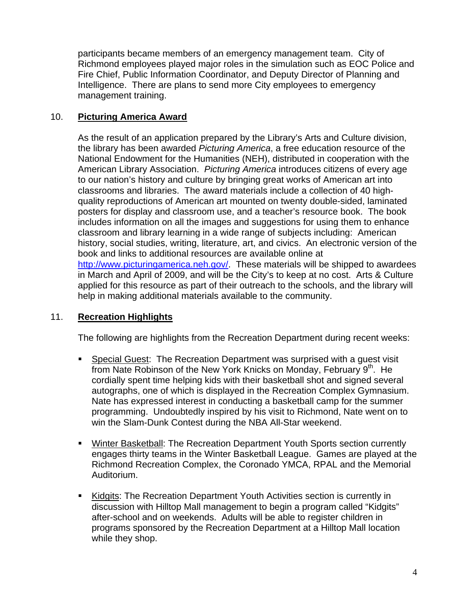participants became members of an emergency management team. City of Richmond employees played major roles in the simulation such as EOC Police and Fire Chief, Public Information Coordinator, and Deputy Director of Planning and Intelligence. There are plans to send more City employees to emergency management training.

# 10. **Picturing America Award**

As the result of an application prepared by the Library's Arts and Culture division, the library has been awarded *Picturing America*, a free education resource of the National Endowment for the Humanities (NEH), distributed in cooperation with the American Library Association. *Picturing America* introduces citizens of every age to our nation's history and culture by bringing great works of American art into classrooms and libraries. The award materials include a collection of 40 highquality reproductions of American art mounted on twenty double-sided, laminated posters for display and classroom use, and a teacher's resource book. The book includes information on all the images and suggestions for using them to enhance classroom and library learning in a wide range of subjects including: American history, social studies, writing, literature, art, and civics. An electronic version of the book and links to additional resources are available online at [http://www.picturingamerica.neh.gov/.](http://www.picturingamerica.neh.gov/) These materials will be shipped to awardees in March and April of 2009, and will be the City's to keep at no cost. Arts & Culture applied for this resource as part of their outreach to the schools, and the library will help in making additional materials available to the community.

#### 11. **Recreation Highlights**

The following are highlights from the Recreation Department during recent weeks:

- **Special Guest: The Recreation Department was surprised with a guest visit** from Nate Robinson of the New York Knicks on Monday, February  $9<sup>th</sup>$ . He cordially spent time helping kids with their basketball shot and signed several autographs, one of which is displayed in the Recreation Complex Gymnasium. Nate has expressed interest in conducting a basketball camp for the summer programming. Undoubtedly inspired by his visit to Richmond, Nate went on to win the Slam-Dunk Contest during the NBA All-Star weekend.
- Winter Basketball: The Recreation Department Youth Sports section currently engages thirty teams in the Winter Basketball League. Games are played at the Richmond Recreation Complex, the Coronado YMCA, RPAL and the Memorial Auditorium.
- Kidgits: The Recreation Department Youth Activities section is currently in discussion with Hilltop Mall management to begin a program called "Kidgits" after-school and on weekends. Adults will be able to register children in programs sponsored by the Recreation Department at a Hilltop Mall location while they shop.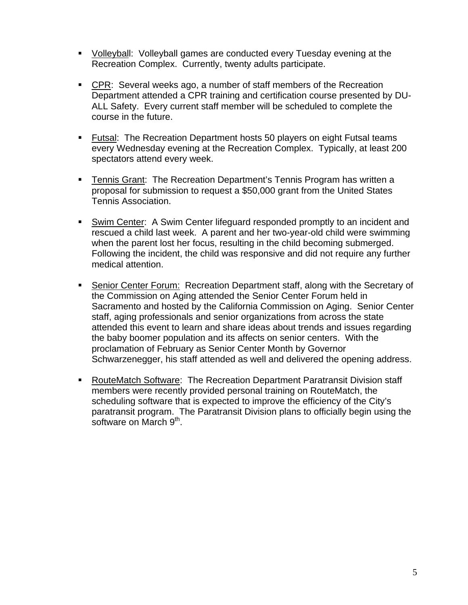- Volleyball: Volleyball games are conducted every Tuesday evening at the Recreation Complex. Currently, twenty adults participate.
- CPR: Several weeks ago, a number of staff members of the Recreation Department attended a CPR training and certification course presented by DU-ALL Safety. Every current staff member will be scheduled to complete the course in the future.
- **Futsal: The Recreation Department hosts 50 players on eight Futsal teams** every Wednesday evening at the Recreation Complex. Typically, at least 200 spectators attend every week.
- **Tennis Grant: The Recreation Department's Tennis Program has written a** proposal for submission to request a \$50,000 grant from the United States Tennis Association.
- Swim Center: A Swim Center lifeguard responded promptly to an incident and rescued a child last week. A parent and her two-year-old child were swimming when the parent lost her focus, resulting in the child becoming submerged. Following the incident, the child was responsive and did not require any further medical attention.
- Senior Center Forum: Recreation Department staff, along with the Secretary of the Commission on Aging attended the Senior Center Forum held in Sacramento and hosted by the California Commission on Aging. Senior Center staff, aging professionals and senior organizations from across the state attended this event to learn and share ideas about trends and issues regarding the baby boomer population and its affects on senior centers. With the proclamation of February as Senior Center Month by Governor Schwarzenegger, his staff attended as well and delivered the opening address.
- RouteMatch Software: The Recreation Department Paratransit Division staff members were recently provided personal training on RouteMatch, the scheduling software that is expected to improve the efficiency of the City's paratransit program. The Paratransit Division plans to officially begin using the software on March 9<sup>th</sup>.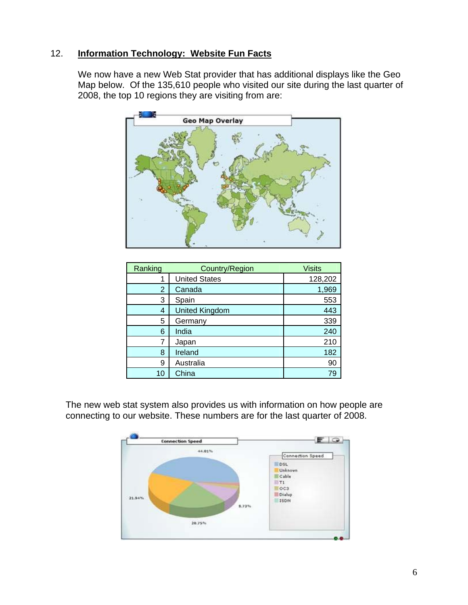# 12. **Information Technology: Website Fun Facts**

We now have a new Web Stat provider that has additional displays like the Geo Map below. Of the 135,610 people who visited our site during the last quarter of 2008, the top 10 regions they are visiting from are:



| Ranking | Country/Region        | <b>Visits</b> |
|---------|-----------------------|---------------|
| 1       | <b>United States</b>  | 128,202       |
| 2       | Canada                | 1,969         |
| 3       | Spain                 | 553           |
| 4       | <b>United Kingdom</b> | 443           |
| 5       | Germany               | 339           |
| 6       | India                 | 240           |
| 7       | Japan                 | 210           |
| 8       | Ireland               | 182           |
| 9       | Australia             | 90            |
| 10      | China                 | 79            |

The new web stat system also provides us with information on how people are connecting to our website. These numbers are for the last quarter of 2008.